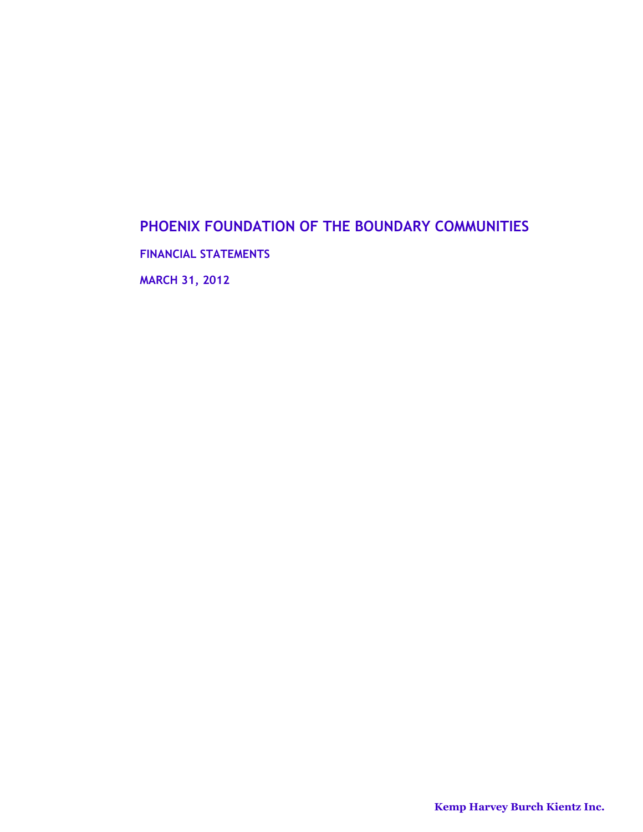# **PHOENIX FOUNDATION OF THE BOUNDARY COMMUNITIES**

**FINANCIAL STATEMENTS**

**MARCH 31, 2012**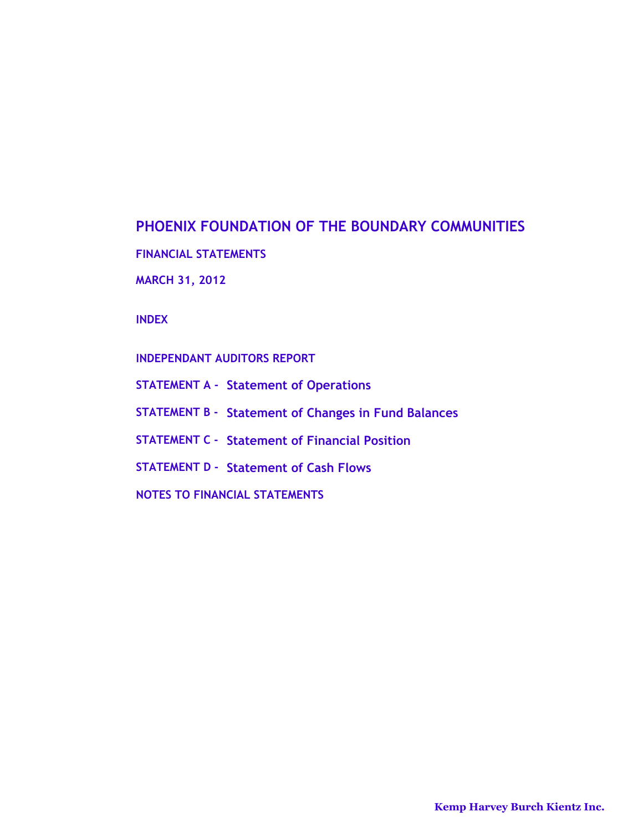# **PHOENIX FOUNDATION OF THE BOUNDARY COMMUNITIES**

**FINANCIAL STATEMENTS**

**MARCH 31, 2012**

**INDEX**

**INDEPENDANT AUDITORS REPORT**

- **STATEMENT A Statement of Operations**
- **STATEMENT B Statement of Changes in Fund Balances**
- **STATEMENT C Statement of Financial Position**
- **STATEMENT D Statement of Cash Flows**
- **NOTES TO FINANCIAL STATEMENTS**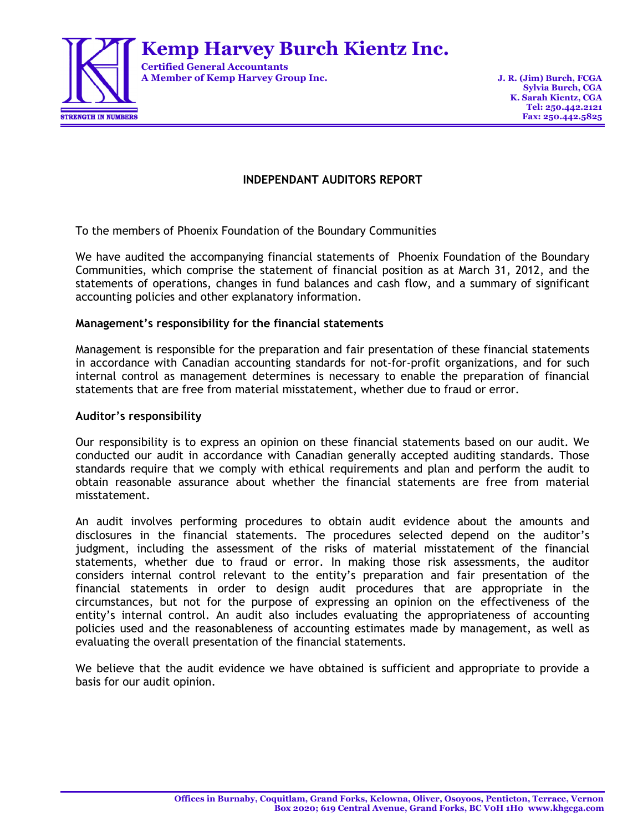

**Kemp Harvey Burch Kientz Inc.**

**Certified General Accountants A Member of Kemp Harvey Group Inc. J. R. (Jim) Burch, FCGA**

# **INDEPENDANT AUDITORS REPORT**

To the members of Phoenix Foundation of the Boundary Communities

We have audited the accompanying financial statements of Phoenix Foundation of the Boundary Communities, which comprise the statement of financial position as at March 31, 2012, and the statements of operations, changes in fund balances and cash flow, and a summary of significant accounting policies and other explanatory information.

# **Management's responsibility for the financial statements**

Management is responsible for the preparation and fair presentation of these financial statements in accordance with Canadian accounting standards for not-for-profit organizations, and for such internal control as management determines is necessary to enable the preparation of financial statements that are free from material misstatement, whether due to fraud or error.

# **Auditor's responsibility**

Our responsibility is to express an opinion on these financial statements based on our audit. We conducted our audit in accordance with Canadian generally accepted auditing standards. Those standards require that we comply with ethical requirements and plan and perform the audit to obtain reasonable assurance about whether the financial statements are free from material misstatement.

An audit involves performing procedures to obtain audit evidence about the amounts and disclosures in the financial statements. The procedures selected depend on the auditor's judgment, including the assessment of the risks of material misstatement of the financial statements, whether due to fraud or error. In making those risk assessments, the auditor considers internal control relevant to the entity's preparation and fair presentation of the financial statements in order to design audit procedures that are appropriate in the circumstances, but not for the purpose of expressing an opinion on the effectiveness of the entity's internal control. An audit also includes evaluating the appropriateness of accounting policies used and the reasonableness of accounting estimates made by management, as well as evaluating the overall presentation of the financial statements.

We believe that the audit evidence we have obtained is sufficient and appropriate to provide a basis for our audit opinion.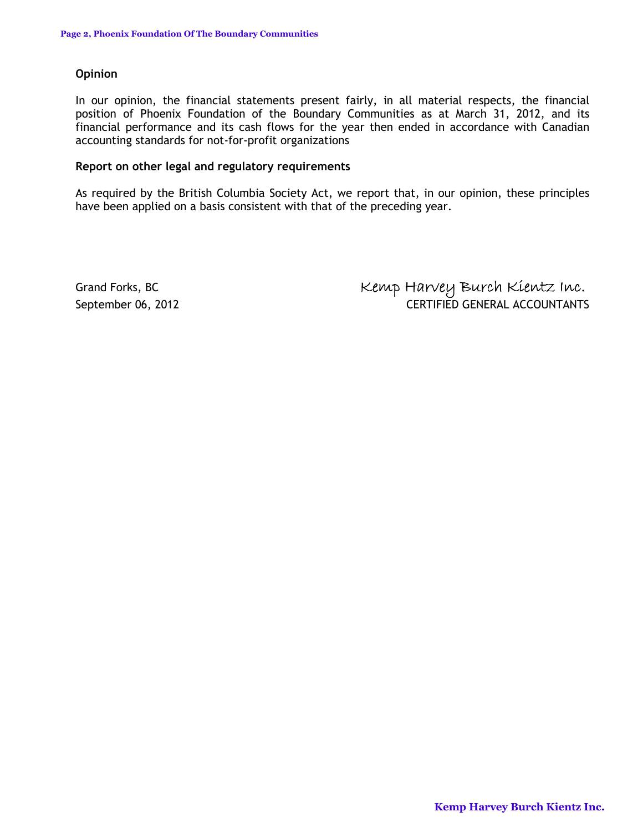# **Opinion**

In our opinion, the financial statements present fairly, in all material respects, the financial position of Phoenix Foundation of the Boundary Communities as at March 31, 2012, and its financial performance and its cash flows for the year then ended in accordance with Canadian accounting standards for not-for-profit organizations

# **Report on other legal and regulatory requirements**

As required by the British Columbia Society Act, we report that, in our opinion, these principles have been applied on a basis consistent with that of the preceding year.

Grand Forks, BC **Kemp Harvey Burch Kientz Inc.** September 06, 2012 **CERTIFIED GENERAL ACCOUNTANTS**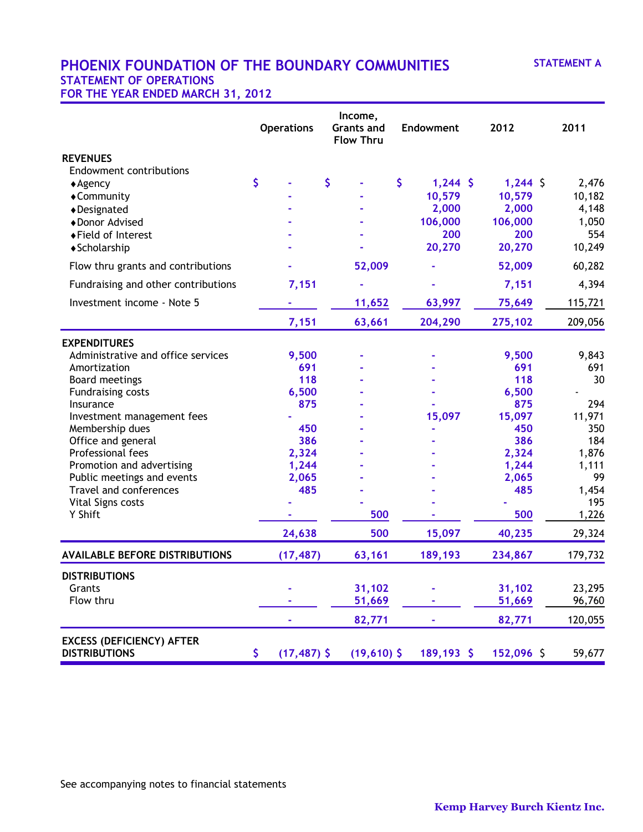# **PHOENIX FOUNDATION OF THE BOUNDARY COMMUNITIES STATEMENT A STATEMENT OF OPERATIONS FOR THE YEAR ENDED MARCH 31, 2012**

|                                                          | <b>Operations</b>    | Income,<br><b>Grants and</b><br><b>Flow Thru</b> | Endowment        | 2012       | 2011         |
|----------------------------------------------------------|----------------------|--------------------------------------------------|------------------|------------|--------------|
| <b>REVENUES</b>                                          |                      |                                                  |                  |            |              |
| <b>Endowment contributions</b>                           |                      |                                                  |                  |            |              |
| $\triangle$ Agency                                       | \$                   | \$                                               | \$<br>$1,244$ \$ | $1,244$ \$ | 2,476        |
| ◆ Community                                              |                      |                                                  | 10,579           | 10,579     | 10,182       |
| ◆Designated                                              |                      |                                                  | 2,000            | 2,000      | 4,148        |
| ◆ Donor Advised                                          |                      |                                                  | 106,000          | 106,000    | 1,050        |
| ◆Field of Interest                                       |                      |                                                  | 200              | 200        | 554          |
| ◆ Scholarship                                            |                      |                                                  | 20,270           | 20,270     | 10,249       |
| Flow thru grants and contributions                       |                      | 52,009                                           |                  | 52,009     | 60,282       |
| Fundraising and other contributions                      | 7,151                |                                                  |                  | 7,151      | 4,394        |
| Investment income - Note 5                               |                      | 11,652                                           | 63,997           | 75,649     | 115,721      |
|                                                          | 7,151                | 63,661                                           | 204,290          | 275,102    | 209,056      |
| <b>EXPENDITURES</b>                                      |                      |                                                  |                  |            |              |
| Administrative and office services                       | 9,500                |                                                  |                  | 9,500      | 9,843        |
| Amortization                                             | 691                  |                                                  |                  | 691        | 691          |
| Board meetings                                           | 118                  |                                                  |                  | 118        | 30           |
| <b>Fundraising costs</b>                                 | 6,500                |                                                  |                  | 6,500      |              |
| Insurance                                                | 875                  |                                                  |                  | 875        | 294          |
| Investment management fees                               |                      |                                                  | 15,097           | 15,097     | 11,971       |
| Membership dues                                          | 450                  |                                                  |                  | 450        | 350          |
| Office and general                                       | 386                  |                                                  |                  | 386        | 184          |
| Professional fees                                        | 2,324                |                                                  |                  | 2,324      | 1,876        |
| Promotion and advertising                                | 1,244                |                                                  |                  | 1,244      | 1,111        |
| Public meetings and events                               | 2,065                |                                                  |                  | 2,065      | 99           |
| Travel and conferences                                   | 485                  |                                                  |                  | 485        | 1,454        |
| Vital Signs costs<br>Y Shift                             |                      | 500                                              |                  | 500        | 195<br>1,226 |
|                                                          | 24,638               | 500                                              | 15,097           | 40,235     | 29,324       |
| <b>AVAILABLE BEFORE DISTRIBUTIONS</b>                    | (17, 487)            | 63,161                                           | 189,193          | 234,867    | 179,732      |
| <b>DISTRIBUTIONS</b>                                     |                      |                                                  |                  |            |              |
| Grants                                                   |                      | 31,102                                           |                  | 31,102     | 23,295       |
| Flow thru                                                |                      | 51,669                                           |                  | 51,669     | 96,760       |
|                                                          |                      | 82,771                                           | ۰                | 82,771     | 120,055      |
| <b>EXCESS (DEFICIENCY) AFTER</b><br><b>DISTRIBUTIONS</b> | \$<br>$(17, 487)$ \$ | $(19,610)$ \$                                    | 189,193 \$       | 152,096 \$ | 59,677       |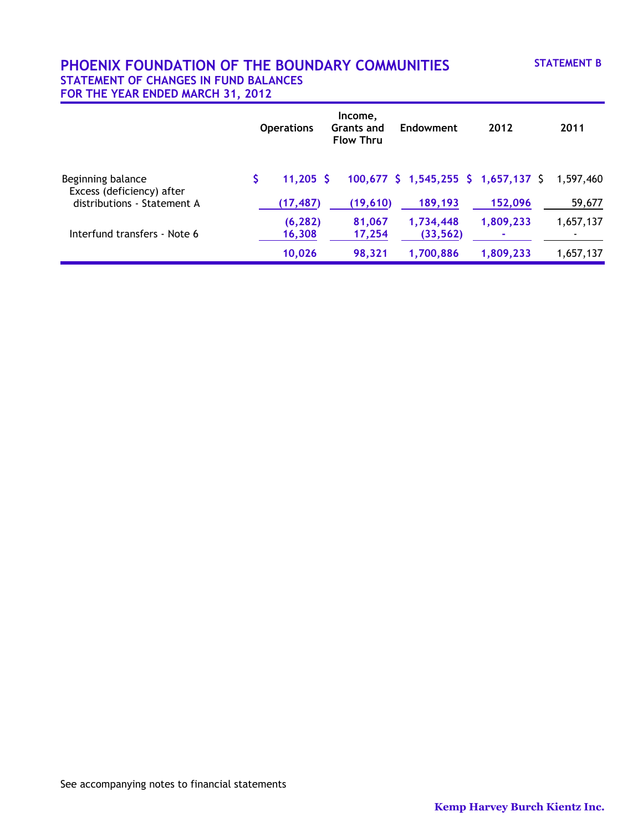# **PHOENIX FOUNDATION OF THE BOUNDARY COMMUNITIES STATEMENT B STATEMENT OF CHANGES IN FUND BALANCES FOR THE YEAR ENDED MARCH 31, 2012**

|                                                | <b>Operations</b>  | Income,<br><b>Grants and</b><br><b>Flow Thru</b> | Endowment                              | 2012      | 2011      |
|------------------------------------------------|--------------------|--------------------------------------------------|----------------------------------------|-----------|-----------|
| Beginning balance<br>Excess (deficiency) after | $11,205$ \$        |                                                  | $100,677$ \$ 1,545,255 \$ 1,657,137 \$ |           | 1,597,460 |
| distributions - Statement A                    | (17, 487)          | (19,610)                                         | 189,193                                | 152,096   | 59,677    |
| Interfund transfers - Note 6                   | (6, 282)<br>16,308 | 81,067<br>17,254                                 | 1,734,448<br>(33, 562)                 | 1,809,233 | 1,657,137 |
|                                                | 10,026             | 98,321                                           | 1,700,886                              | 1,809,233 | 1,657,137 |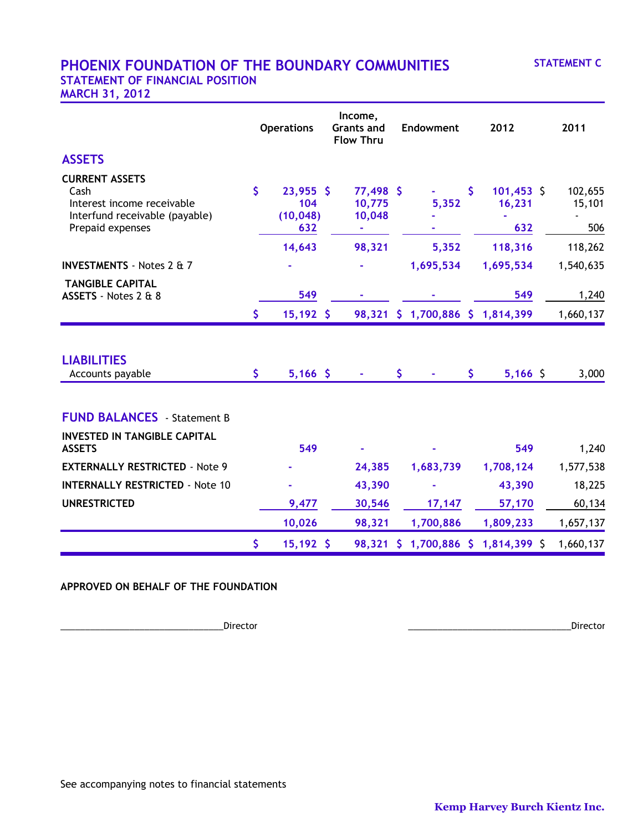# **PHOENIX FOUNDATION OF THE BOUNDARY COMMUNITIES STATEMENT C STATEMENT OF FINANCIAL POSITION**

**MARCH 31, 2012**

|                                                                                                                   |              | <b>Operations</b>                      | Income,<br><b>Grants and</b><br><b>Flow Thru</b> |     | Endowment                           |     | 2012                          | 2011                     |
|-------------------------------------------------------------------------------------------------------------------|--------------|----------------------------------------|--------------------------------------------------|-----|-------------------------------------|-----|-------------------------------|--------------------------|
| <b>ASSETS</b>                                                                                                     |              |                                        |                                                  |     |                                     |     |                               |                          |
| <b>CURRENT ASSETS</b><br>Cash<br>Interest income receivable<br>Interfund receivable (payable)<br>Prepaid expenses | $\mathsf{S}$ | $23,955$ \$<br>104<br>(10, 048)<br>632 | 77,498 \$<br>10,775<br>10,048<br>÷               |     | 5,352                               | \$. | $101,453$ \$<br>16,231<br>632 | 102,655<br>15,101<br>506 |
|                                                                                                                   |              | 14,643                                 | 98,321                                           |     | 5,352                               |     | 118,316                       | 118,262                  |
| <b>INVESTMENTS</b> - Notes 2 & 7                                                                                  |              |                                        |                                                  |     | 1,695,534                           |     | 1,695,534                     | 1,540,635                |
| <b>TANGIBLE CAPITAL</b><br>ASSETS - Notes 2 & 8                                                                   |              | 549                                    |                                                  |     |                                     |     | 549                           | 1,240                    |
|                                                                                                                   | \$           | $15,192$ \$                            |                                                  |     | 98,321 \$ 1,700,886 \$ 1,814,399    |     |                               | 1,660,137                |
| <b>LIABILITIES</b><br>Accounts payable                                                                            | \$           | $5,166$ \$                             |                                                  | \$. |                                     | \$  | $5,166$ \$                    | 3,000                    |
| <b>FUND BALANCES</b> Statement B                                                                                  |              |                                        |                                                  |     |                                     |     |                               |                          |
| <b>INVESTED IN TANGIBLE CAPITAL</b><br><b>ASSETS</b>                                                              |              | 549                                    |                                                  |     |                                     |     | 549                           | 1,240                    |
| <b>EXTERNALLY RESTRICTED - Note 9</b>                                                                             |              |                                        | 24,385                                           |     | 1,683,739                           |     | 1,708,124                     | 1,577,538                |
| <b>INTERNALLY RESTRICTED - Note 10</b>                                                                            |              |                                        | 43,390                                           |     |                                     |     | 43,390                        | 18,225                   |
| <b>UNRESTRICTED</b>                                                                                               |              | 9,477                                  | 30,546                                           |     | 17,147                              |     | 57,170                        | 60,134                   |
|                                                                                                                   |              | 10,026                                 | 98,321                                           |     | 1,700,886                           |     | 1,809,233                     | 1,657,137                |
|                                                                                                                   | \$           | $15,192$ \$                            |                                                  |     | 98,321 \$ 1,700,886 \$ 1,814,399 \$ |     |                               | 1,660,137                |

## **APPROVED ON BEHALF OF THE FOUNDATION**

\_\_\_\_\_\_\_\_\_\_\_\_\_\_\_\_\_\_\_\_\_\_\_\_\_\_\_\_\_\_\_\_\_Director \_\_\_\_\_\_\_\_\_\_\_\_\_\_\_\_\_\_\_\_\_\_\_\_\_\_\_\_\_\_\_\_\_Director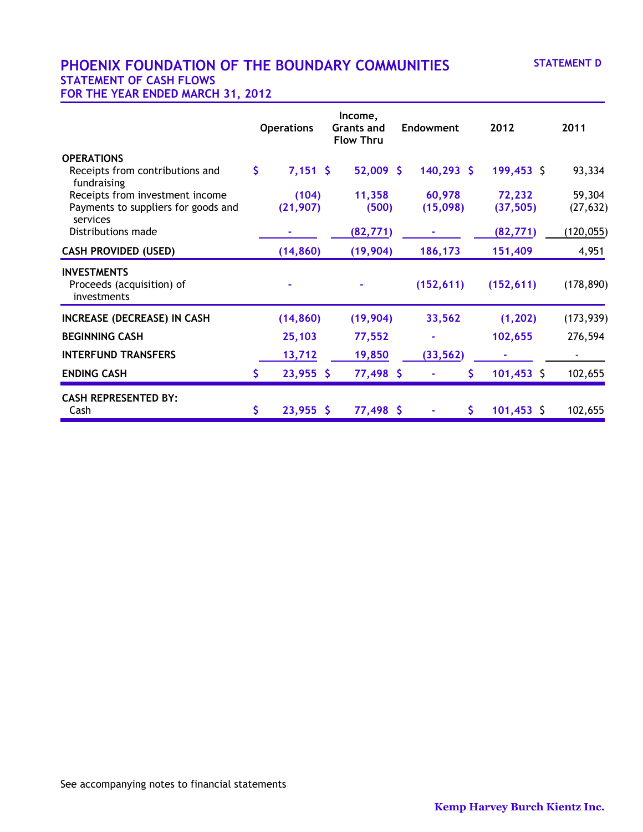# **PHOENIX FOUNDATION OF THE BOUNDARY COMMUNITIES STATEMENT D STATEMENT OF CASH FLOWS**

**FOR THE YEAR ENDED MARCH 31, 2012**

|                                                                |    | <b>Operations</b> | Income,<br><b>Grants and</b><br><b>Flow Thru</b> | <b>Endowment</b> |     | 2012         | 2011       |
|----------------------------------------------------------------|----|-------------------|--------------------------------------------------|------------------|-----|--------------|------------|
| <b>OPERATIONS</b>                                              |    |                   |                                                  |                  |     |              |            |
| Receipts from contributions and<br>fundraising                 | \$ | $7,151$ \$        | $52,009$ \$                                      | $140,293$ \$     |     | $199,453$ \$ | 93,334     |
| Receipts from investment income                                |    | (104)             | 11,358                                           | 60,978           |     | 72,232       | 59,304     |
| Payments to suppliers for goods and<br>services                |    | (21, 907)         | (500)                                            | (15,098)         |     | (37, 505)    | (27, 632)  |
| Distributions made                                             |    |                   | (82, 771)                                        |                  |     | (82, 771)    | (120, 055) |
| <b>CASH PROVIDED (USED)</b>                                    |    | (14, 860)         | (19,904)                                         | 186,173          |     | 151,409      | 4,951      |
| <b>INVESTMENTS</b><br>Proceeds (acquisition) of<br>investments |    |                   |                                                  | (152, 611)       |     | (152, 611)   | (178, 890) |
| <b>INCREASE (DECREASE) IN CASH</b>                             |    | (14, 860)         | (19, 904)                                        | 33,562           |     | (1, 202)     | (173, 939) |
| <b>BEGINNING CASH</b>                                          |    | 25,103            | 77,552                                           |                  |     | 102,655      | 276,594    |
| <b>INTERFUND TRANSFERS</b>                                     |    | 13,712            | 19,850                                           | (33, 562)        |     |              |            |
| <b>ENDING CASH</b>                                             | S. | $23,955$ \$       | 77,498 \$                                        |                  | \$. | $101,453$ \$ | 102,655    |
| <b>CASH REPRESENTED BY:</b><br>Cash                            | \$ | $23,955$ \$       | 77,498 \$                                        |                  | \$. | $101,453$ \$ | 102,655    |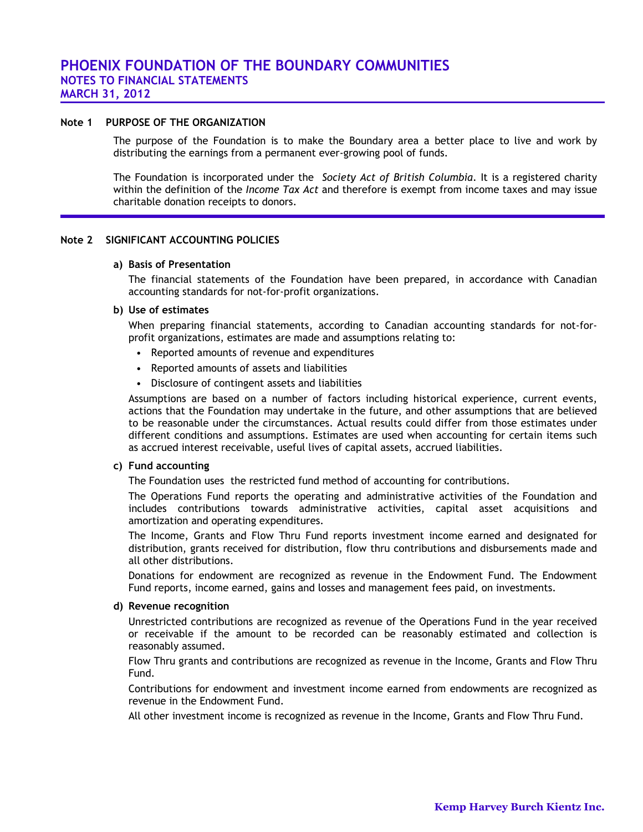#### **Note 1 PURPOSE OF THE ORGANIZATION**

The purpose of the Foundation is to make the Boundary area a better place to live and work by distributing the earnings from a permanent ever-growing pool of funds.

The Foundation is incorporated under the *Society Act of British Columbia*. It is a registered charity within the definition of the *Income Tax Act* and therefore is exempt from income taxes and may issue charitable donation receipts to donors.

#### **Note 2 SIGNIFICANT ACCOUNTING POLICIES**

#### **a) Basis of Presentation**

The financial statements of the Foundation have been prepared, in accordance with Canadian accounting standards for not-for-profit organizations.

#### **b) Use of estimates**

When preparing financial statements, according to Canadian accounting standards for not-forprofit organizations, estimates are made and assumptions relating to:

- Reported amounts of revenue and expenditures
- Reported amounts of assets and liabilities
- Disclosure of contingent assets and liabilities

Assumptions are based on a number of factors including historical experience, current events, actions that the Foundation may undertake in the future, and other assumptions that are believed to be reasonable under the circumstances. Actual results could differ from those estimates under different conditions and assumptions. Estimates are used when accounting for certain items such as accrued interest receivable, useful lives of capital assets, accrued liabilities.

#### **c) Fund accounting**

The Foundation uses the restricted fund method of accounting for contributions.

The Operations Fund reports the operating and administrative activities of the Foundation and includes contributions towards administrative activities, capital asset acquisitions and amortization and operating expenditures.

The Income, Grants and Flow Thru Fund reports investment income earned and designated for distribution, grants received for distribution, flow thru contributions and disbursements made and all other distributions.

Donations for endowment are recognized as revenue in the Endowment Fund. The Endowment Fund reports, income earned, gains and losses and management fees paid, on investments.

#### **d) Revenue recognition**

Unrestricted contributions are recognized as revenue of the Operations Fund in the year received or receivable if the amount to be recorded can be reasonably estimated and collection is reasonably assumed.

Flow Thru grants and contributions are recognized as revenue in the Income, Grants and Flow Thru Fund.

Contributions for endowment and investment income earned from endowments are recognized as revenue in the Endowment Fund.

All other investment income is recognized as revenue in the Income, Grants and Flow Thru Fund.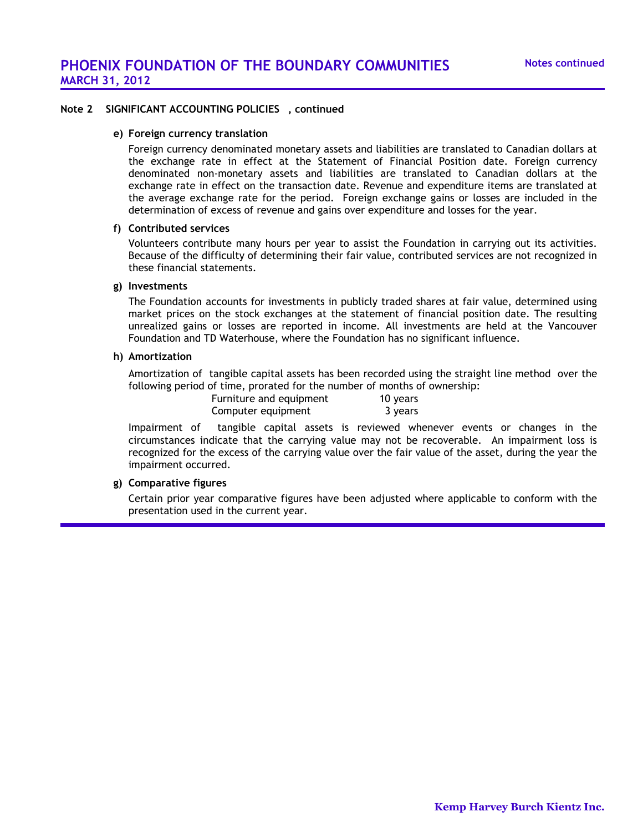### **Note 2 SIGNIFICANT ACCOUNTING POLICIES , continued**

#### **e) Foreign currency translation**

Foreign currency denominated monetary assets and liabilities are translated to Canadian dollars at the exchange rate in effect at the Statement of Financial Position date. Foreign currency denominated non-monetary assets and liabilities are translated to Canadian dollars at the exchange rate in effect on the transaction date. Revenue and expenditure items are translated at the average exchange rate for the period. Foreign exchange gains or losses are included in the determination of excess of revenue and gains over expenditure and losses for the year.

## **f) Contributed services**

Volunteers contribute many hours per year to assist the Foundation in carrying out its activities. Because of the difficulty of determining their fair value, contributed services are not recognized in these financial statements.

#### **g) Investments**

The Foundation accounts for investments in publicly traded shares at fair value, determined using market prices on the stock exchanges at the statement of financial position date. The resulting unrealized gains or losses are reported in income. All investments are held at the Vancouver Foundation and TD Waterhouse, where the Foundation has no significant influence.

#### **h) Amortization**

Amortization of tangible capital assets has been recorded using the straight line method over the following period of time, prorated for the number of months of ownership:

| Furniture and equipment | 10 years |
|-------------------------|----------|
| Computer equipment      | 3 years  |

Impairment of tangible capital assets is reviewed whenever events or changes in the circumstances indicate that the carrying value may not be recoverable. An impairment loss is recognized for the excess of the carrying value over the fair value of the asset, during the year the impairment occurred.

#### **g) Comparative figures**

Certain prior year comparative figures have been adjusted where applicable to conform with the presentation used in the current year.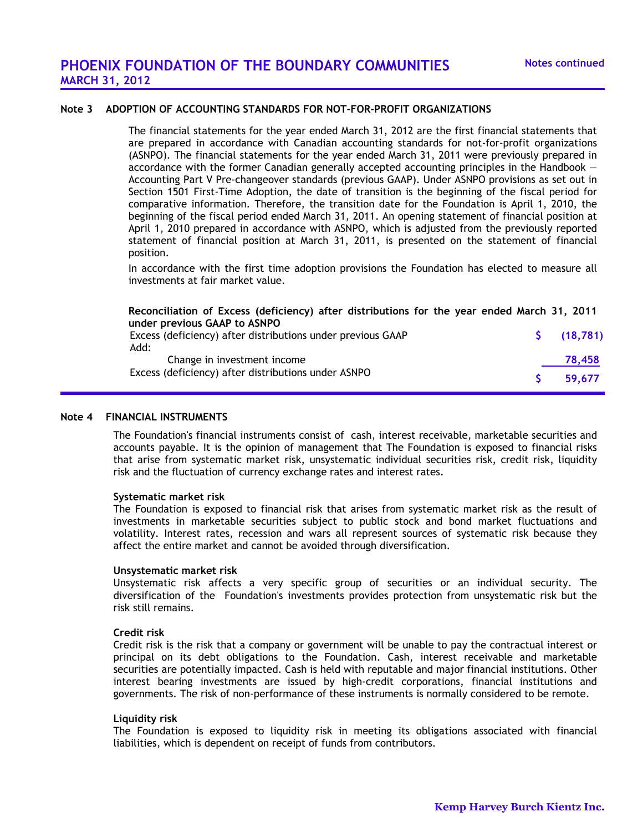# **Note 3 ADOPTION OF ACCOUNTING STANDARDS FOR NOT-FOR-PROFIT ORGANIZATIONS**

The financial statements for the year ended March 31, 2012 are the first financial statements that are prepared in accordance with Canadian accounting standards for not-for-profit organizations (ASNPO). The financial statements for the year ended March 31, 2011 were previously prepared in accordance with the former Canadian generally accepted accounting principles in the Handbook  $-$ Accounting Part V Pre-changeover standards (previous GAAP). Under ASNPO provisions as set out in Section 1501 First-Time Adoption, the date of transition is the beginning of the fiscal period for comparative information. Therefore, the transition date for the Foundation is April 1, 2010, the beginning of the fiscal period ended March 31, 2011. An opening statement of financial position at April 1, 2010 prepared in accordance with ASNPO, which is adjusted from the previously reported statement of financial position at March 31, 2011, is presented on the statement of financial position.

In accordance with the first time adoption provisions the Foundation has elected to measure all investments at fair market value.

# **Reconciliation of Excess (deficiency) after distributions for the year ended March 31, 2011 under previous GAAP to ASNPO**

| Excess (deficiency) after distributions under previous GAAP | (18, 781) |
|-------------------------------------------------------------|-----------|
| Add:                                                        |           |
| Change in investment income                                 | 78,458    |
| Excess (deficiency) after distributions under ASNPO         | 59.677    |

#### **Note 4 FINANCIAL INSTRUMENTS**

The Foundation's financial instruments consist of cash, interest receivable, marketable securities and accounts payable. It is the opinion of management that The Foundation is exposed to financial risks that arise from systematic market risk, unsystematic individual securities risk, credit risk, liquidity risk and the fluctuation of currency exchange rates and interest rates.

#### **Systematic market risk**

The Foundation is exposed to financial risk that arises from systematic market risk as the result of investments in marketable securities subject to public stock and bond market fluctuations and volatility. Interest rates, recession and wars all represent sources of systematic risk because they affect the entire market and cannot be avoided through diversification.

#### **Unsystematic market risk**

Unsystematic risk affects a very specific group of securities or an individual security. The diversification of the Foundation's investments provides protection from unsystematic risk but the risk still remains.

#### **Credit risk**

Credit risk is the risk that a company or government will be unable to pay the contractual interest or principal on its debt obligations to the Foundation. Cash, interest receivable and marketable securities are potentially impacted. Cash is held with reputable and major financial institutions. Other interest bearing investments are issued by high-credit corporations, financial institutions and governments. The risk of non-performance of these instruments is normally considered to be remote.

#### **Liquidity risk**

The Foundation is exposed to liquidity risk in meeting its obligations associated with financial liabilities, which is dependent on receipt of funds from contributors.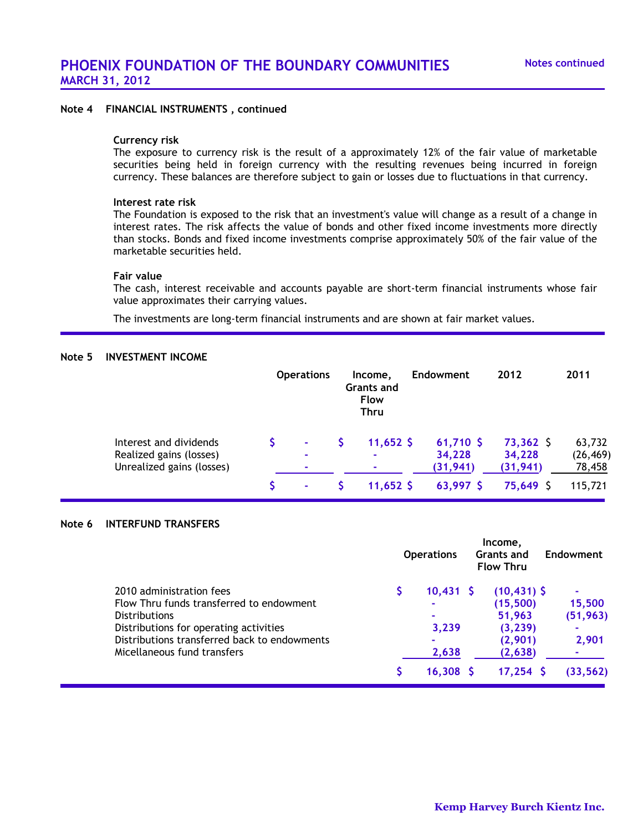# **Note 4 FINANCIAL INSTRUMENTS , continued**

#### **Currency risk**

The exposure to currency risk is the result of a approximately 12% of the fair value of marketable securities being held in foreign currency with the resulting revenues being incurred in foreign currency. These balances are therefore subject to gain or losses due to fluctuations in that currency.

#### **Interest rate risk**

The Foundation is exposed to the risk that an investment's value will change as a result of a change in interest rates. The risk affects the value of bonds and other fixed income investments more directly than stocks. Bonds and fixed income investments comprise approximately 50% of the fair value of the marketable securities held.

#### **Fair value**

The cash, interest receivable and accounts payable are short-term financial instruments whose fair value approximates their carrying values.

The investments are long-term financial instruments and are shown at fair market values.

#### **Note 5 INVESTMENT INCOME**

|                                                      | <b>Operations</b> | Income.<br><b>Grants and</b><br><b>Flow</b><br><b>Thru</b> | <b>Endowment</b>    | 2012                | 2011                |
|------------------------------------------------------|-------------------|------------------------------------------------------------|---------------------|---------------------|---------------------|
| Interest and dividends                               | $\sim$            | $11,652$ \$                                                | $61,710$ \$         | $73,362$ \$         | 63,732              |
| Realized gains (losses)<br>Unrealized gains (losses) |                   | ۰                                                          | 34,228<br>(31, 941) | 34,228<br>(31, 941) | (26, 469)<br>78,458 |
|                                                      |                   | $11,652$ \$                                                | 63,997 \$           | 75,649 S            | 115,721             |

#### **Note 6 INTERFUND TRANSFERS**

|                                              | <b>Operations</b> | Income,<br><b>Grants and</b><br><b>Flow Thru</b> | <b>Endowment</b> |
|----------------------------------------------|-------------------|--------------------------------------------------|------------------|
| 2010 administration fees                     | $10,431$ \$       | $(10, 431)$ \$                                   |                  |
| Flow Thru funds transferred to endowment     |                   | (15,500)                                         | 15,500           |
| <b>Distributions</b>                         |                   | 51,963                                           | (51, 963)        |
| Distributions for operating activities       | 3,239             | (3, 239)                                         |                  |
| Distributions transferred back to endowments | ۰                 | (2,901)                                          | 2,901            |
| Micellaneous fund transfers                  | 2,638             | (2,638)                                          |                  |
|                                              | 16,308            | $17,254$ \$                                      | (33, 562)        |
|                                              |                   |                                                  |                  |